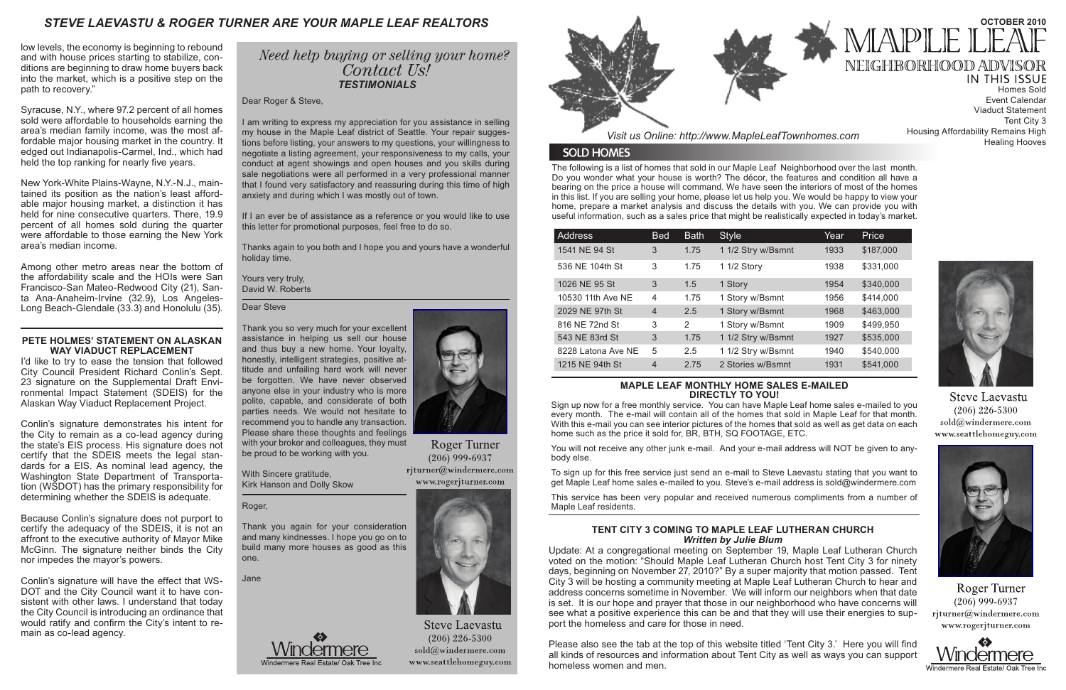The following is a list of homes that sold in our Maple Leaf Neighborhood over the last month. Do you wonder what your house is worth? The décor, the features and condition all have a bearing on the price a house will command. We have seen the interiors of most of the homes in this list. If you are selling your home, please let us help you. We would be happy to view your home, prepare a market analysis and discuss the details with you. We can provide you with useful information, such as a sales price that might be realistically expected in today's market.

*Visit us Online: http://www.MapleLeafTownhomes.com*

### **SOLD HOMES**

## *STEVE LAEVASTU & ROGER TURNER ARE YOUR MAPLE LEAF REALTORS*

#### **MAPLE LEAF MONTHLY HOME SALES E-MAILED DIRECTLY TO YOU!**

## Need help buying or selling your home? Contact Us! *TESTIMONIALS*

Sign up now for a free monthly service. You can have Maple Leaf home sales e-mailed to you every month. The e-mail will contain all of the homes that sold in Maple Leaf for that month. With this e-mail you can see interior pictures of the homes that sold as well as get data on each home such as the price it sold for, BR, BTH, SQ FOOTAGE, ETC.

**IN THIS ISSUE** Homes Sold Event Calendar Viaduct Statement Tent City 3 Housing Affordability Remains High Healing Hooves



**Steve Laevastu**  $(206)$  226-5300 sold@windermere.com www.seattlehomeguy.com



Roger Turner  $(206)$  999-6937 rjturner@windermere.com www.rogerjturner.com



You will not receive any other junk e-mail. And your e-mail address will NOT be given to anybody else.

To sign up for this free service just send an e-mail to Steve Laevastu stating that you want to get Maple Leaf home sales e-mailed to you. Steve's e-mail address is sold@windermere.com

This service has been very popular and received numerous compliments from a number of Maple Leaf residents.

| <b>Address</b>     | <b>Bed</b>     | <b>Bath</b>   | <b>Style</b>       | Year | Price     |
|--------------------|----------------|---------------|--------------------|------|-----------|
| 1541 NE 94 St      | 3              | 1.75          | 1 1/2 Stry w/Bsmnt | 1933 | \$187,000 |
| 536 NE 104th St    | 3              | 1.75          | 1 1/2 Story        | 1938 | \$331,000 |
| 1026 NE 95 St      | 3              | 1.5           | 1 Story            | 1954 | \$340,000 |
| 10530 11th Ave NE  | $\overline{4}$ | 1.75          | 1 Story w/Bsmnt    | 1956 | \$414,000 |
| 2029 NE 97th St    | $\overline{4}$ | 2.5           | 1 Story w/Bsmnt    | 1968 | \$463,000 |
| 816 NE 72nd St     | 3              | $\mathcal{P}$ | 1 Story w/Bsmnt    | 1909 | \$499,950 |
| 543 NE 83rd St     | 3              | 1.75          | 1 1/2 Stry w/Bsmnt | 1927 | \$535,000 |
| 8228 Latona Ave NE | 5              | 2.5           | 1 1/2 Stry w/Bsmnt | 1940 | \$540,000 |
| 1215 NE 94th St    | $\overline{4}$ | 2.75          | 2 Stories w/Bsmnt  | 1931 | \$541,000 |

Dear Roger & Steve,

Among other metro areas near the bottom of the affordability scale and the HOIs were San Francisco-San Mateo-Redwood City (21), Santa Ana-Anaheim-Irvine (32.9), Los Angeles-Long Beach-Glendale (33.3) and Honolulu (35). Dear Steve

I am writing to express my appreciation for you assistance in selling my house in the Maple Leaf district of Seattle. Your repair suggestions before listing, your answers to my questions, your willingness to negotiate a listing agreement, your responsiveness to my calls, your conduct at agent showings and open houses and you skills during sale negotiations were all performed in a very professional manner that I found very satisfactory and reassuring during this time of high anxiety and during which I was mostly out of town.

If I an ever be of assistance as a reference or you would like to use this letter for promotional purposes, feel free to do so.

Thanks again to you both and I hope you and yours have a wonderful holiday time.

Yours very truly, David W. Roberts

### **TENT CITY 3 COMING TO MAPLE LEAF LUTHERAN CHURCH** *Written by Julie Blum*

Update: At a congregational meeting on September 19, Maple Leaf Lutheran Church voted on the motion: "Should Maple Leaf Lutheran Church host Tent City 3 for ninety days, beginning on November 27, 2010?" By a super majority that motion passed. Tent City 3 will be hosting a community meeting at Maple Leaf Lutheran Church to hear and address concerns sometime in November. We will inform our neighbors when that date is set. It is our hope and prayer that those in our neighborhood who have concerns will see what a positive experience this can be and that they will use their energies to support the homeless and care for those in need.

Please also see the tab at the top of this website titled 'Tent City 3.' Here you will find all kinds of resources and information about Tent City as well as ways you can support homeless women and men.



# **OCTOBER 2010** MAPLE

NEIGHBORHOOD ADVISOR

low levels, the economy is beginning to rebound and with house prices starting to stabilize, conditions are beginning to draw home buyers back into the market, which is a positive step on the path to recovery."

Syracuse, N.Y., where 97.2 percent of all homes sold were affordable to households earning the area's median family income, was the most affordable major housing market in the country. It edged out Indianapolis-Carmel, Ind., which had held the top ranking for nearly five years.

New York-White Plains-Wayne, N.Y.-N.J., maintained its position as the nation's least affordable major housing market, a distinction it has held for nine consecutive quarters. There, 19.9 percent of all homes sold during the quarter were affordable to those earning the New York area's median income.

> Thank you so very much for your excellent assistance in helping us sell our house and thus buy a new home. Your loyalty, honestly, intelligent strategies, positive attitude and unfailing hard work will never be forgotten. We have never observed anyone else in your industry who is more polite, capable, and considerate of both parties needs. We would not hesitate to recommend you to handle any transaction. Please share these thoughts and feelings with your broker and colleagues, they must be proud to be working with you.

With Sincere gratitude, Kirk Hanson and Dolly Skow

#### Roger,

Thank you again for your consideration and many kindnesses. I hope you go on to build many more houses as good as this one.

Jane





Roger Turner  $(206)$  999-6937 rjturner@windermere.com www.rogerjturner.com



**Steve Laevastu**  $(206)$  226-5300  $sold@$ windermere.com www.seattlehomeguy.com



#### **PETE HOLMES' STATEMENT ON ALASKAN WAY VIADUCT REPLACEMENT**

I'd like to try to ease the tension that followed City Council President Richard Conlin's Sept. 23 signature on the Supplemental Draft Environmental Impact Statement (SDEIS) for the Alaskan Way Viaduct Replacement Project.

Conlin's signature demonstrates his intent for the City to remain as a co-lead agency during the state's EIS process. His signature does not certify that the SDEIS meets the legal standards for a EIS. As nominal lead agency, the Washington State Department of Transportation (WSDOT) has the primary responsibility for determining whether the SDEIS is adequate.

Because Conlin's signature does not purport to certify the adequacy of the SDEIS, it is not an affront to the executive authority of Mayor Mike McGinn. The signature neither binds the City nor impedes the mayor's powers.

Conlin's signature will have the effect that WS-DOT and the City Council want it to have consistent with other laws. I understand that today the City Council is introducing an ordinance that would ratify and confirm the City's intent to remain as co-lead agency.